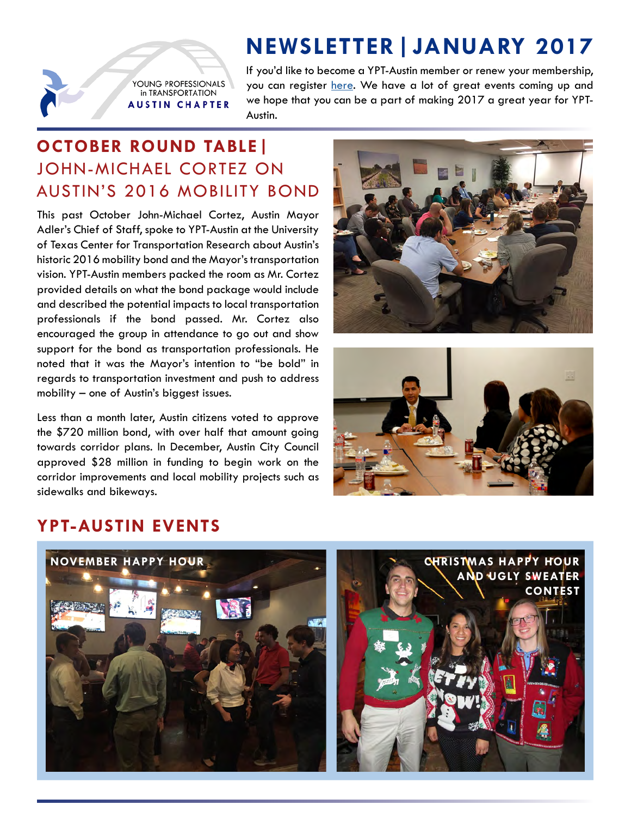# **NEWSLETTER|JANUARY 2017**

YOUNG PROFESSIONALS in TRANSPORTATION **AUSTIN CHAPTER**  If you'd like to become a YPT-Austin member or renew your membership, you can register [here.](https://my.yptransportation.org/join) We have a lot of great events coming up and we hope that you can be a part of making 2017 a great year for YPT-Austin.

## **OCTOBER ROUND TABLE|** JOHN-MICHAEL CORTEZ ON AUSTIN'S 2016 MOBILITY BOND

This past October John-Michael Cortez, Austin Mayor Adler's Chief of Staff, spoke to YPT-Austin at the University of Texas Center for Transportation Research about Austin's historic 2016 mobility bond and the Mayor's transportation vision. YPT-Austin members packed the room as Mr. Cortez provided details on what the bond package would include and described the potential impacts to local transportation professionals if the bond passed. Mr. Cortez also encouraged the group in attendance to go out and show support for the bond as transportation professionals. He noted that it was the Mayor's intention to "be bold" in regards to transportation investment and push to address mobility – one of Austin's biggest issues.

Less than a month later, Austin citizens voted to approve the \$720 million bond, with over half that amount going towards corridor plans. In December, Austin City Council approved \$28 million in funding to begin work on the corridor improvements and local mobility projects such as sidewalks and bikeways.





### **YPT-AUSTIN EVENTS**

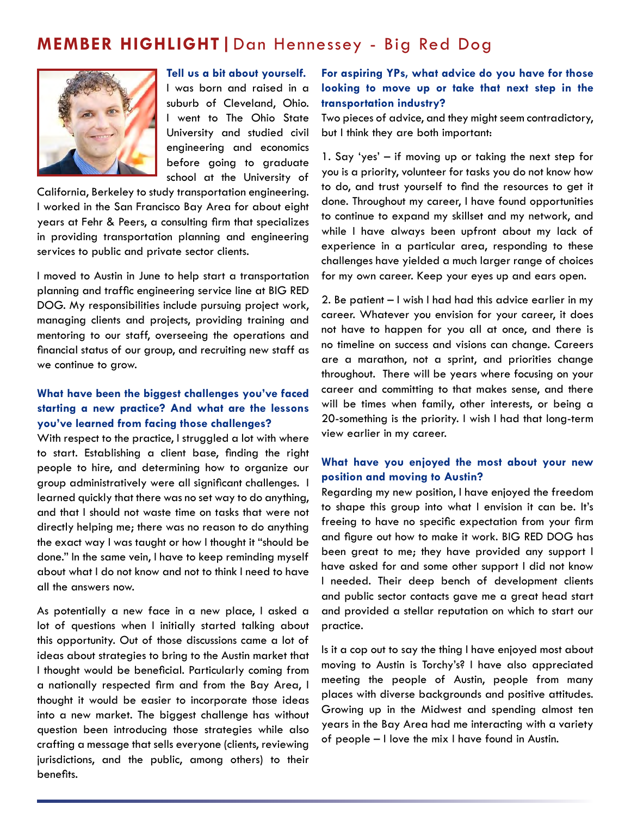### **MEMBER HIGHLIGHT|**Dan Hennessey - Big Red Dog



**Tell us a bit about yourself.**

I was born and raised in a suburb of Cleveland, Ohio. I went to The Ohio State University and studied civil engineering and economics before going to graduate school at the University of

California, Berkeley to study transportation engineering. I worked in the San Francisco Bay Area for about eight years at Fehr & Peers, a consulting firm that specializes in providing transportation planning and engineering services to public and private sector clients.

I moved to Austin in June to help start a transportation planning and traffic engineering service line at BIG RED DOG. My responsibilities include pursuing project work, managing clients and projects, providing training and mentoring to our staff, overseeing the operations and financial status of our group, and recruiting new staff as we continue to grow.

#### **What have been the biggest challenges you've faced starting a new practice? And what are the lessons you've learned from facing those challenges?**

With respect to the practice, I struggled a lot with where to start. Establishing a client base, finding the right people to hire, and determining how to organize our group administratively were all significant challenges. I learned quickly that there was no set way to do anything, and that I should not waste time on tasks that were not directly helping me; there was no reason to do anything the exact way I was taught or how I thought it "should be done." In the same vein, I have to keep reminding myself about what I do not know and not to think I need to have all the answers now.

As potentially a new face in a new place, I asked a lot of questions when I initially started talking about this opportunity. Out of those discussions came a lot of ideas about strategies to bring to the Austin market that I thought would be beneficial. Particularly coming from a nationally respected firm and from the Bay Area, I thought it would be easier to incorporate those ideas into a new market. The biggest challenge has without question been introducing those strategies while also crafting a message that sells everyone (clients, reviewing jurisdictions, and the public, among others) to their benefits.

#### **For aspiring YPs, what advice do you have for those looking to move up or take that next step in the transportation industry?**

Two pieces of advice, and they might seem contradictory, but I think they are both important:

1. Say 'yes' – if moving up or taking the next step for you is a priority, volunteer for tasks you do not know how to do, and trust yourself to find the resources to get it done. Throughout my career, I have found opportunities to continue to expand my skillset and my network, and while I have always been upfront about my lack of experience in a particular area, responding to these challenges have yielded a much larger range of choices for my own career. Keep your eyes up and ears open.

2. Be patient – I wish I had had this advice earlier in my career. Whatever you envision for your career, it does not have to happen for you all at once, and there is no timeline on success and visions can change. Careers are a marathon, not a sprint, and priorities change throughout. There will be years where focusing on your career and committing to that makes sense, and there will be times when family, other interests, or being a 20-something is the priority. I wish I had that long-term view earlier in my career.

#### **What have you enjoyed the most about your new position and moving to Austin?**

Regarding my new position, I have enjoyed the freedom to shape this group into what I envision it can be. It's freeing to have no specific expectation from your firm and figure out how to make it work. BIG RED DOG has been great to me; they have provided any support I have asked for and some other support I did not know I needed. Their deep bench of development clients and public sector contacts gave me a great head start and provided a stellar reputation on which to start our practice.

Is it a cop out to say the thing I have enjoyed most about moving to Austin is Torchy's? I have also appreciated meeting the people of Austin, people from many places with diverse backgrounds and positive attitudes. Growing up in the Midwest and spending almost ten years in the Bay Area had me interacting with a variety of people – I love the mix I have found in Austin.